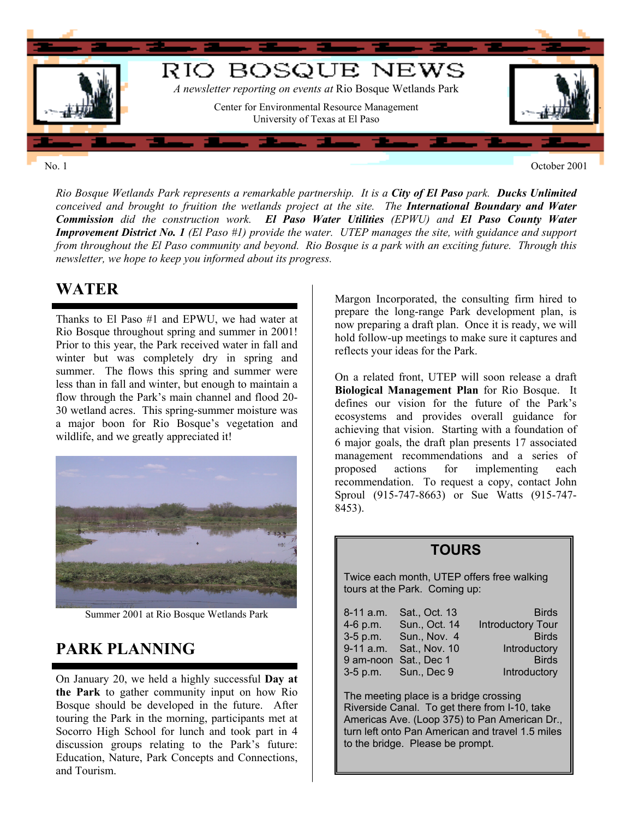

*Rio Bosque Wetlands Park represents a remarkable partnership. It is a City of El Paso park. Ducks Unlimited conceived and brought to fruition the wetlands project at the site. The International Boundary and Water Commission did the construction work. El Paso Water Utilities (EPWU) and El Paso County Water Improvement District No. 1 (El Paso #1) provide the water. UTEP manages the site, with guidance and support from throughout the El Paso community and beyond. Rio Bosque is a park with an exciting future. Through this newsletter, we hope to keep you informed about its progress.* 

### **WATER**

Thanks to El Paso #1 and EPWU, we had water at Rio Bosque throughout spring and summer in 2001! Prior to this year, the Park received water in fall and winter but was completely dry in spring and summer. The flows this spring and summer were less than in fall and winter, but enough to maintain a flow through the Park's main channel and flood 20- 30 wetland acres. This spring-summer moisture was a major boon for Rio Bosque's vegetation and wildlife, and we greatly appreciated it!



Summer 2001 at Rio Bosque Wetlands Park

## **PARK PLANNING**

On January 20, we held a highly successful **Day at the Park** to gather community input on how Rio Bosque should be developed in the future. After touring the Park in the morning, participants met at Socorro High School for lunch and took part in 4 discussion groups relating to the Park's future: Education, Nature, Park Concepts and Connections, and Tourism.

Margon Incorporated, the consulting firm hired to prepare the long-range Park development plan, is now preparing a draft plan. Once it is ready, we will hold follow-up meetings to make sure it captures and reflects your ideas for the Park.

On a related front, UTEP will soon release a draft **Biological Management Plan** for Rio Bosque. It defines our vision for the future of the Park's ecosystems and provides overall guidance for achieving that vision. Starting with a foundation of 6 major goals, the draft plan presents 17 associated management recommendations and a series of proposed actions for implementing each recommendation. To request a copy, contact John Sproul (915-747-8663) or Sue Watts (915-747- 8453).

#### **TOURS**

Twice each month, UTEP offers free walking tours at the Park. Coming up:

| 8-11 a.m. | Sat., Oct. 13           | <b>Birds</b>             |
|-----------|-------------------------|--------------------------|
| 4-6 p.m.  | Sun., Oct. 14           | <b>Introductory Tour</b> |
|           | 3-5 p.m. Sun., Nov. 4   | <b>Birds</b>             |
|           | 9-11 a.m. Sat., Nov. 10 | Introductory             |
|           | 9 am-noon Sat., Dec 1   | <b>Birds</b>             |
|           | 3-5 p.m. Sun., Dec 9    | Introductory             |

The meeting place is a bridge crossing Riverside Canal. To get there from I-10, take Americas Ave. (Loop 375) to Pan American Dr ., turn left onto Pan American and travel 1.5 mile s to the bridge. Please be pro mpt.